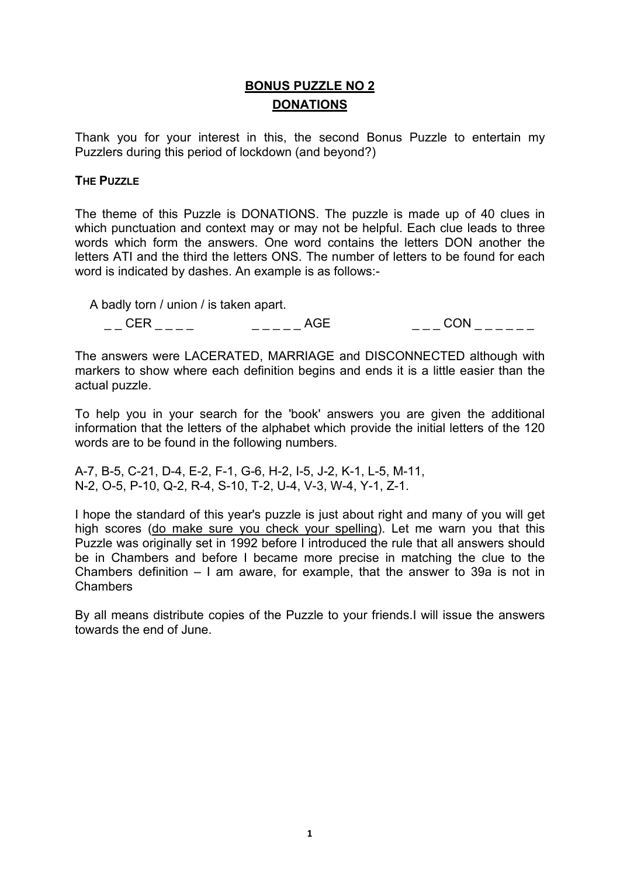## **BONUS PUZZLE NO 2 DONATIONS**

Thank you for your interest in this, the second Bonus Puzzle to entertain my Puzzlers during this period of lockdown (and beyond?)

## **THE PUZZLE**

The theme of this Puzzle is DONATIONS. The puzzle is made up of 40 clues in which punctuation and context may or may not be helpful. Each clue leads to three words which form the answers. One word contains the letters DON another the letters ATI and the third the letters ONS. The number of letters to be found for each word is indicated by dashes. An example is as follows:-

A badly torn / union / is taken apart.

| - -<br>__ | $\sim$ $\sim$ |  |
|-----------|---------------|--|

The answers were LACERATED, MARRIAGE and DISCONNECTED although with markers to show where each definition begins and ends it is a little easier than the actual puzzle.

To help you in your search for the 'book' answers you are given the additional information that the letters of the alphabet which provide the initial letters of the 120 words are to be found in the following numbers.

A-7, B-5, C-21, D-4, E-2, F-1, G-6, H-2, I-5, J-2, K-1, L-5, M-11, N-2, O-5, P-10, Q-2, R-4, S-10, T-2, U-4, V-3, W-4, Y-1, Z-1.

I hope the standard of this year's puzzle is just about right and many of you will get high scores (do make sure you check your spelling). Let me warn you that this Puzzle was originally set in 1992 before I introduced the rule that all answers should be in Chambers and before I became more precise in matching the clue to the Chambers definition – I am aware, for example, that the answer to 39a is not in Chambers

By all means distribute copies of the Puzzle to your friends.I will issue the answers towards the end of June.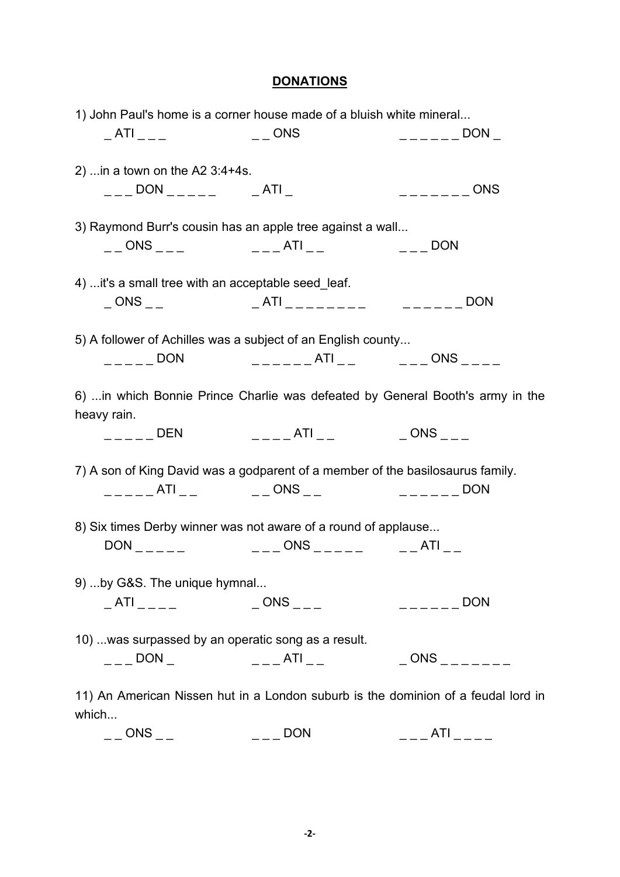## **DONATIONS**

| 1) John Paul's home is a corner house made of a bluish white mineral                                                                                                                                                                                                                                                   |                                          |                   |
|------------------------------------------------------------------------------------------------------------------------------------------------------------------------------------------------------------------------------------------------------------------------------------------------------------------------|------------------------------------------|-------------------|
|                                                                                                                                                                                                                                                                                                                        |                                          |                   |
| 2)  in a town on the A2 $3:4+4s$ .                                                                                                                                                                                                                                                                                     |                                          |                   |
| $\overline{\phantom{0}}$ _ _ _ DON _ _ _ _ _ _ _ _ _ _ ATI _                                                                                                                                                                                                                                                           |                                          | $------$ ONS      |
| 3) Raymond Burr's cousin has an apple tree against a wall                                                                                                                                                                                                                                                              |                                          |                   |
|                                                                                                                                                                                                                                                                                                                        |                                          |                   |
| 4)  it's a small tree with an acceptable seed_leaf.                                                                                                                                                                                                                                                                    |                                          |                   |
|                                                                                                                                                                                                                                                                                                                        |                                          |                   |
| 5) A follower of Achilles was a subject of an English county                                                                                                                                                                                                                                                           |                                          |                   |
|                                                                                                                                                                                                                                                                                                                        |                                          |                   |
| 6)  in which Bonnie Prince Charlie was defeated by General Booth's army in the<br>heavy rain.                                                                                                                                                                                                                          |                                          |                   |
|                                                                                                                                                                                                                                                                                                                        | ______DEN      _____ATI __      _ONS ___ |                   |
| 7) A son of King David was a godparent of a member of the basilosaurus family.                                                                                                                                                                                                                                         |                                          |                   |
|                                                                                                                                                                                                                                                                                                                        |                                          |                   |
| 8) Six times Derby winner was not aware of a round of applause                                                                                                                                                                                                                                                         |                                          |                   |
|                                                                                                                                                                                                                                                                                                                        | $DON$ $-- -- ONS$ $-- -- ATI$ $---$      |                   |
| 9)  by G&S. The unique hymnal                                                                                                                                                                                                                                                                                          |                                          |                   |
|                                                                                                                                                                                                                                                                                                                        |                                          | $---$ DON         |
| 10)  was surpassed by an operatic song as a result.                                                                                                                                                                                                                                                                    |                                          |                   |
| $\frac{1}{2}$ DON $\frac{1}{2}$ $\frac{1}{2}$ $\frac{1}{2}$ $\frac{1}{2}$ $\frac{1}{2}$ $\frac{1}{2}$ $\frac{1}{2}$ $\frac{1}{2}$ $\frac{1}{2}$ $\frac{1}{2}$ $\frac{1}{2}$ $\frac{1}{2}$ $\frac{1}{2}$ $\frac{1}{2}$ $\frac{1}{2}$ $\frac{1}{2}$ $\frac{1}{2}$ $\frac{1}{2}$ $\frac{1}{2}$ $\frac{1}{2}$ $\frac{1}{2$ |                                          | $-$ ONS $      -$ |
| 11) An American Nissen hut in a London suburb is the dominion of a feudal lord in<br>which                                                                                                                                                                                                                             |                                          |                   |

 $\begin{array}{ccc} \text{---} & \text{ONS} \end{array}$  \_ \_  $\begin{array}{ccc} \text{---} & \text{DON} & \text{---} & \text{ATI} \end{array}$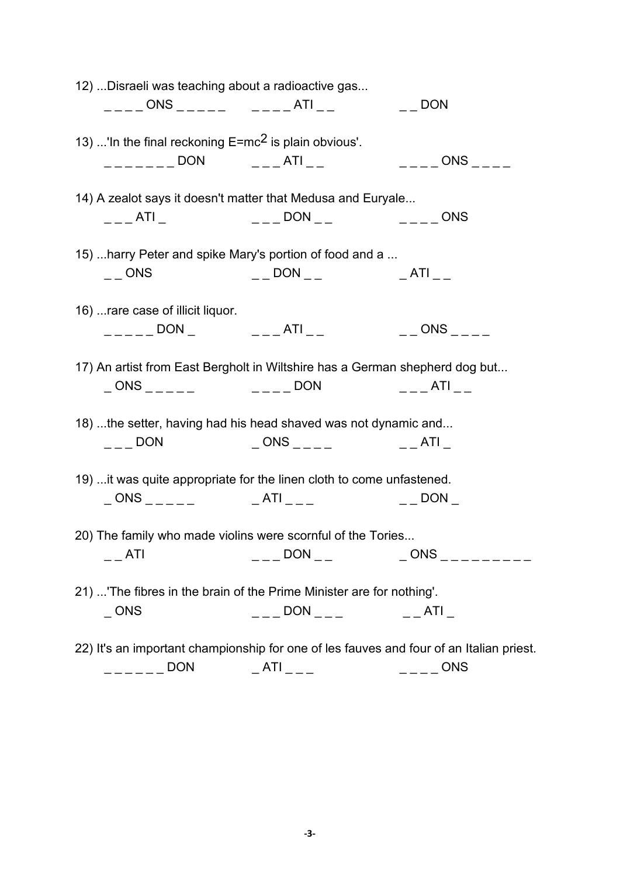| 12)  Disraeli was teaching about a radioactive gas                                                                                                                                                                                                                                                                                                                                                                                                                              |                                                                                                                                                                                                                                                                                                                     |                     |
|---------------------------------------------------------------------------------------------------------------------------------------------------------------------------------------------------------------------------------------------------------------------------------------------------------------------------------------------------------------------------------------------------------------------------------------------------------------------------------|---------------------------------------------------------------------------------------------------------------------------------------------------------------------------------------------------------------------------------------------------------------------------------------------------------------------|---------------------|
|                                                                                                                                                                                                                                                                                                                                                                                                                                                                                 |                                                                                                                                                                                                                                                                                                                     |                     |
|                                                                                                                                                                                                                                                                                                                                                                                                                                                                                 |                                                                                                                                                                                                                                                                                                                     |                     |
| 13) 'In the final reckoning $E=mc^2$ is plain obvious'.                                                                                                                                                                                                                                                                                                                                                                                                                         |                                                                                                                                                                                                                                                                                                                     |                     |
| $\frac{1}{2}$ _ _ _ _ _ _ _ DON $\frac{1}{2}$ _ _ _ _ _ _ ATI _ _ _                                                                                                                                                                                                                                                                                                                                                                                                             |                                                                                                                                                                                                                                                                                                                     | $---$ ONS $---$     |
| 14) A zealot says it doesn't matter that Medusa and Euryale                                                                                                                                                                                                                                                                                                                                                                                                                     |                                                                                                                                                                                                                                                                                                                     |                     |
|                                                                                                                                                                                                                                                                                                                                                                                                                                                                                 | ___ATI_      ____DON __      ____ONS                                                                                                                                                                                                                                                                                |                     |
|                                                                                                                                                                                                                                                                                                                                                                                                                                                                                 |                                                                                                                                                                                                                                                                                                                     |                     |
| 15)  harry Peter and spike Mary's portion of food and a                                                                                                                                                                                                                                                                                                                                                                                                                         |                                                                                                                                                                                                                                                                                                                     |                     |
| $\overline{a}$ $\overline{a}$ ONS                                                                                                                                                                                                                                                                                                                                                                                                                                               |                                                                                                                                                                                                                                                                                                                     |                     |
|                                                                                                                                                                                                                                                                                                                                                                                                                                                                                 |                                                                                                                                                                                                                                                                                                                     |                     |
| 16)  rare case of illicit liquor.                                                                                                                                                                                                                                                                                                                                                                                                                                               |                                                                                                                                                                                                                                                                                                                     |                     |
|                                                                                                                                                                                                                                                                                                                                                                                                                                                                                 | $\frac{1}{2}$ $\frac{1}{2}$ $\frac{1}{2}$ $\frac{1}{2}$ $\frac{1}{2}$ $\frac{1}{2}$ $\frac{1}{2}$ $\frac{1}{2}$ $\frac{1}{2}$ $\frac{1}{2}$ $\frac{1}{2}$ $\frac{1}{2}$ $\frac{1}{2}$ $\frac{1}{2}$ $\frac{1}{2}$ $\frac{1}{2}$ $\frac{1}{2}$ $\frac{1}{2}$ $\frac{1}{2}$ $\frac{1}{2}$ $\frac{1}{2}$ $\frac{1}{2}$ |                     |
|                                                                                                                                                                                                                                                                                                                                                                                                                                                                                 |                                                                                                                                                                                                                                                                                                                     |                     |
| 17) An artist from East Bergholt in Wiltshire has a German shepherd dog but                                                                                                                                                                                                                                                                                                                                                                                                     |                                                                                                                                                                                                                                                                                                                     |                     |
|                                                                                                                                                                                                                                                                                                                                                                                                                                                                                 | $\_$ ONS _ _ _ _ _ _ _ _ _ _ _ _ _ DON _ _ _ _ _ _ ATI _ _                                                                                                                                                                                                                                                          |                     |
|                                                                                                                                                                                                                                                                                                                                                                                                                                                                                 |                                                                                                                                                                                                                                                                                                                     |                     |
| 18) the setter, having had his head shaved was not dynamic and                                                                                                                                                                                                                                                                                                                                                                                                                  |                                                                                                                                                                                                                                                                                                                     |                     |
| $\overline{\phantom{a}}$ $\overline{\phantom{a}}$ $\overline{\phantom{a}}$ $\overline{\phantom{a}}$ $\overline{\phantom{a}}$ $\overline{\phantom{a}}$ $\overline{\phantom{a}}$ $\overline{\phantom{a}}$ $\overline{\phantom{a}}$ $\overline{\phantom{a}}$ $\overline{\phantom{a}}$ $\overline{\phantom{a}}$ $\overline{\phantom{a}}$ $\overline{\phantom{a}}$ $\overline{\phantom{a}}$ $\overline{\phantom{a}}$ $\overline{\phantom{a}}$ $\overline{\phantom{a}}$ $\overline{\$ |                                                                                                                                                                                                                                                                                                                     |                     |
|                                                                                                                                                                                                                                                                                                                                                                                                                                                                                 |                                                                                                                                                                                                                                                                                                                     |                     |
| 19)  it was quite appropriate for the linen cloth to come unfastened.                                                                                                                                                                                                                                                                                                                                                                                                           |                                                                                                                                                                                                                                                                                                                     |                     |
|                                                                                                                                                                                                                                                                                                                                                                                                                                                                                 | _ ONS _ _ _ _ _ _ _ _ _ _ ATI _ _ _ _ _ _ _ _ _ _ _ _ _ DON _                                                                                                                                                                                                                                                       |                     |
| 20) The family who made violins were scornful of the Tories                                                                                                                                                                                                                                                                                                                                                                                                                     |                                                                                                                                                                                                                                                                                                                     |                     |
|                                                                                                                                                                                                                                                                                                                                                                                                                                                                                 |                                                                                                                                                                                                                                                                                                                     |                     |
| ATI                                                                                                                                                                                                                                                                                                                                                                                                                                                                             | $---$ DON $---$                                                                                                                                                                                                                                                                                                     | $-$ ONS $        -$ |
| 21)  The fibres in the brain of the Prime Minister are for nothing'.                                                                                                                                                                                                                                                                                                                                                                                                            |                                                                                                                                                                                                                                                                                                                     |                     |
| $\_$ ONS                                                                                                                                                                                                                                                                                                                                                                                                                                                                        | $---$ DON $-- ---$ ATI                                                                                                                                                                                                                                                                                              |                     |
|                                                                                                                                                                                                                                                                                                                                                                                                                                                                                 |                                                                                                                                                                                                                                                                                                                     |                     |
| 22) It's an important championship for one of les fauves and four of an Italian priest.                                                                                                                                                                                                                                                                                                                                                                                         |                                                                                                                                                                                                                                                                                                                     |                     |

\_ \_ \_ \_ \_ \_ DON \_ ATI \_ \_ \_ \_ \_ \_ \_ ONS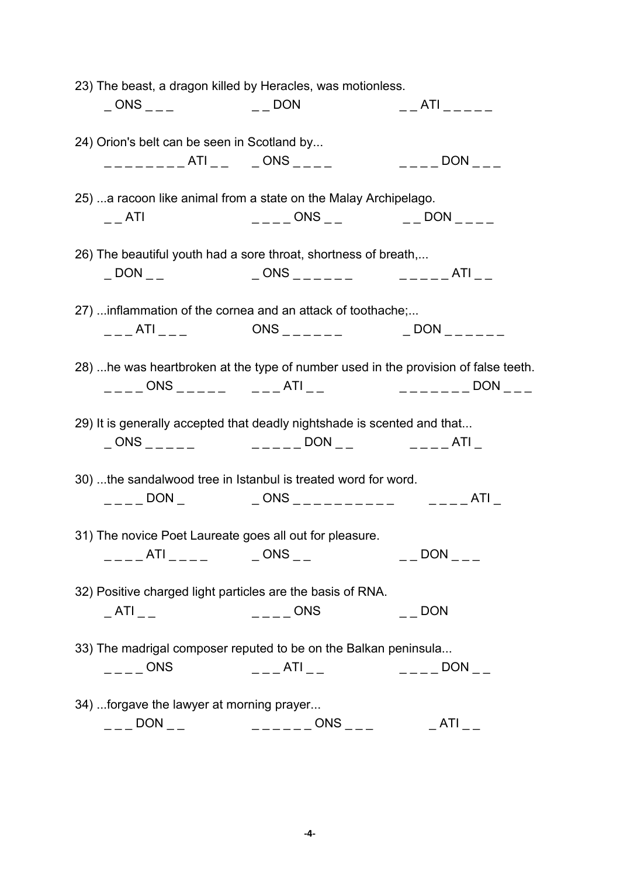| 23) The beast, a dragon killed by Heracles, was motionless.                                                                                                                                                                                                                                                                                                                                                                                                                     |                                                            |                                                                                |  |  |  |
|---------------------------------------------------------------------------------------------------------------------------------------------------------------------------------------------------------------------------------------------------------------------------------------------------------------------------------------------------------------------------------------------------------------------------------------------------------------------------------|------------------------------------------------------------|--------------------------------------------------------------------------------|--|--|--|
| $\begin{array}{cc} \_ \text{ONS} \end{array}$ $\begin{array}{cc} \_ \text{PON} \end{array}$                                                                                                                                                                                                                                                                                                                                                                                     |                                                            | _ _ _ _ _ _ _ _ _ _ _ _ _                                                      |  |  |  |
| 24) Orion's belt can be seen in Scotland by                                                                                                                                                                                                                                                                                                                                                                                                                                     |                                                            |                                                                                |  |  |  |
| _________ATI__  _ONS ____                                                                                                                                                                                                                                                                                                                                                                                                                                                       |                                                            | $---$ DON $---$                                                                |  |  |  |
| 25)  a racoon like animal from a state on the Malay Archipelago.                                                                                                                                                                                                                                                                                                                                                                                                                |                                                            |                                                                                |  |  |  |
| $-$ ATI                                                                                                                                                                                                                                                                                                                                                                                                                                                                         |                                                            |                                                                                |  |  |  |
| 26) The beautiful youth had a sore throat, shortness of breath,                                                                                                                                                                                                                                                                                                                                                                                                                 |                                                            |                                                                                |  |  |  |
| $\_$ DON $_{--}$                                                                                                                                                                                                                                                                                                                                                                                                                                                                | $-$ ONS ______ _ _ ______ ATI __                           |                                                                                |  |  |  |
| 27)  inflammation of the cornea and an attack of toothache;                                                                                                                                                                                                                                                                                                                                                                                                                     |                                                            |                                                                                |  |  |  |
|                                                                                                                                                                                                                                                                                                                                                                                                                                                                                 |                                                            |                                                                                |  |  |  |
| 28)  he was heartbroken at the type of number used in the provision of false teeth.                                                                                                                                                                                                                                                                                                                                                                                             |                                                            |                                                                                |  |  |  |
|                                                                                                                                                                                                                                                                                                                                                                                                                                                                                 |                                                            |                                                                                |  |  |  |
| 29) It is generally accepted that deadly nightshade is scented and that                                                                                                                                                                                                                                                                                                                                                                                                         |                                                            |                                                                                |  |  |  |
|                                                                                                                                                                                                                                                                                                                                                                                                                                                                                 |                                                            |                                                                                |  |  |  |
| 30) the sandalwood tree in Istanbul is treated word for word.                                                                                                                                                                                                                                                                                                                                                                                                                   |                                                            |                                                                                |  |  |  |
|                                                                                                                                                                                                                                                                                                                                                                                                                                                                                 |                                                            |                                                                                |  |  |  |
| 31) The novice Poet Laureate goes all out for pleasure.                                                                                                                                                                                                                                                                                                                                                                                                                         |                                                            |                                                                                |  |  |  |
| ____ATI_____    _ONS __                                                                                                                                                                                                                                                                                                                                                                                                                                                         |                                                            | $\overline{a}$ $\overline{a}$ DON $\overline{a}$ $\overline{a}$ $\overline{a}$ |  |  |  |
|                                                                                                                                                                                                                                                                                                                                                                                                                                                                                 |                                                            |                                                                                |  |  |  |
|                                                                                                                                                                                                                                                                                                                                                                                                                                                                                 | 32) Positive charged light particles are the basis of RNA. |                                                                                |  |  |  |
| $\_$ ATI $_{--}$                                                                                                                                                                                                                                                                                                                                                                                                                                                                | $---$ ONS                                                  | $\overline{\phantom{a}}$ DON                                                   |  |  |  |
| 33) The madrigal composer reputed to be on the Balkan peninsula                                                                                                                                                                                                                                                                                                                                                                                                                 |                                                            |                                                                                |  |  |  |
| $\overline{\phantom{a}}$ $\overline{\phantom{a}}$ $\overline{\phantom{a}}$ $\overline{\phantom{a}}$ $\overline{\phantom{a}}$ $\overline{\phantom{a}}$ $\overline{\phantom{a}}$ $\overline{\phantom{a}}$ $\overline{\phantom{a}}$ $\overline{\phantom{a}}$ $\overline{\phantom{a}}$ $\overline{\phantom{a}}$ $\overline{\phantom{a}}$ $\overline{\phantom{a}}$ $\overline{\phantom{a}}$ $\overline{\phantom{a}}$ $\overline{\phantom{a}}$ $\overline{\phantom{a}}$ $\overline{\$ | $---ATI$ $---$ DON $---$                                   |                                                                                |  |  |  |
| 34) forgave the lawyer at morning prayer                                                                                                                                                                                                                                                                                                                                                                                                                                        |                                                            |                                                                                |  |  |  |